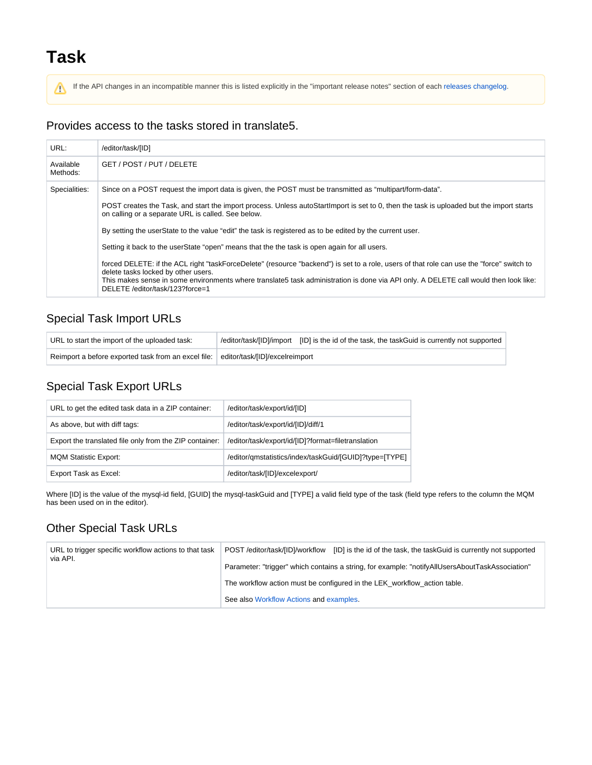# **Task**

Λ

If the API changes in an incompatible manner this is listed explicitly in the "important release notes" section of each [releases changelog](https://confluence.translate5.net/display/CON/Translate5+Changelog).

#### Provides access to the tasks stored in translate5.

| URL:                  | /editor/task/[ID]                                                                                                                                                                                                                                                                                                                                           |
|-----------------------|-------------------------------------------------------------------------------------------------------------------------------------------------------------------------------------------------------------------------------------------------------------------------------------------------------------------------------------------------------------|
| Available<br>Methods: | GET / POST / PUT / DELETE                                                                                                                                                                                                                                                                                                                                   |
| Specialities:         | Since on a POST request the import data is given, the POST must be transmitted as "multipart/form-data".                                                                                                                                                                                                                                                    |
|                       | POST creates the Task, and start the import process. Unless autoStartImport is set to 0, then the task is uploaded but the import starts<br>on calling or a separate URL is called. See below.                                                                                                                                                              |
|                       | By setting the userState to the value "edit" the task is registered as to be edited by the current user.                                                                                                                                                                                                                                                    |
|                       | Setting it back to the userState "open" means that the the task is open again for all users.                                                                                                                                                                                                                                                                |
|                       | forced DELETE: if the ACL right "taskForceDelete" (resource "backend") is set to a role, users of that role can use the "force" switch to<br>delete tasks locked by other users.<br>This makes sense in some environments where translate5 task administration is done via API only. A DELETE call would then look like:<br>DELETE /editor/task/123?force=1 |

### Special Task Import URLs

| URL to start the import of the uploaded task:       |                                | /deditor/task/[ID]/import [ID] is the id of the task, the taskGuid is currently not supported |
|-----------------------------------------------------|--------------------------------|-----------------------------------------------------------------------------------------------|
| Reimport a before exported task from an excel file: | editor/task/[ID]/excelreimport |                                                                                               |

## Special Task Export URLs

| URL to get the edited task data in a ZIP container:     | /editor/task/export/id/[ID]                            |
|---------------------------------------------------------|--------------------------------------------------------|
| As above, but with diff tags:                           | /editor/task/export/id/[ID]/diff/1                     |
| Export the translated file only from the ZIP container: | /editor/task/export/id/[ID]?format=filetranslation     |
| <b>MQM Statistic Export:</b>                            | /editor/qmstatistics/index/taskGuid/[GUID]?type=[TYPE] |
| Export Task as Excel:                                   | /editor/task/[ID]/excelexport/                         |

Where [ID] is the value of the mysql-id field, [GUID] the mysql-taskGuid and [TYPE] a valid field type of the task (field type refers to the column the MQM has been used on in the editor).

## Other Special Task URLs

| URL to trigger specific workflow actions to that task<br>via API. | POST /editor/task/[ID]/workflow [ID] is the id of the task, the taskGuid is currently not supported |
|-------------------------------------------------------------------|-----------------------------------------------------------------------------------------------------|
|                                                                   | Parameter: "trigger" which contains a string, for example: "notifyAllUsersAboutTaskAssociation"     |
|                                                                   | The workflow action must be configured in the LEK_workflow action table.                            |
|                                                                   | See also Workflow Actions and examples.                                                             |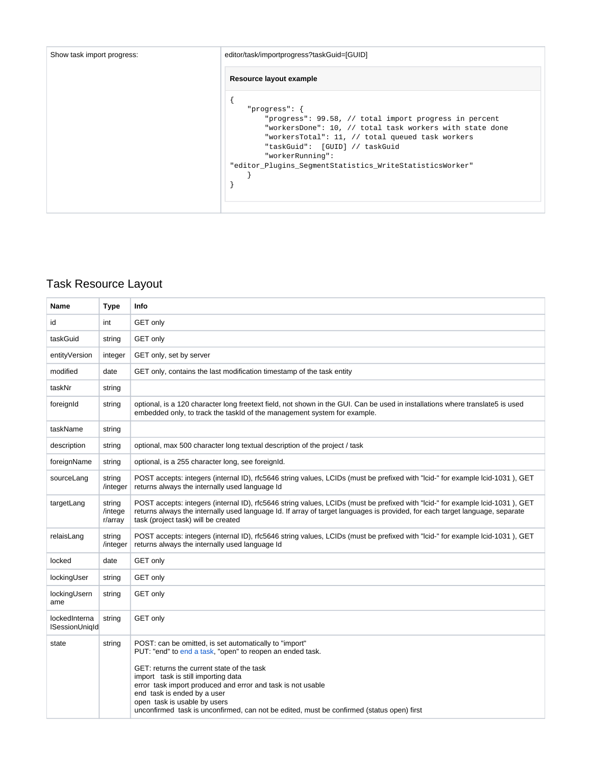| Show task import progress: | editor/task/importprogress?taskGuid=[GUID]                                                                                                                                                                                                                                                                   |
|----------------------------|--------------------------------------------------------------------------------------------------------------------------------------------------------------------------------------------------------------------------------------------------------------------------------------------------------------|
|                            | Resource layout example                                                                                                                                                                                                                                                                                      |
|                            | "progress": $\{$<br>"progress": 99.58, // total import progress in percent<br>"workersDone": 10, // total task workers with state done<br>"workersTotal": 11, // total queued task workers<br>"taskGuid": [GUID] // taskGuid<br>"workerRunning":<br>"editor_Plugins_SegmentStatistics_WriteStatisticsWorker" |

## Task Resource Layout

| Name                                   | Type                         | Info                                                                                                                                                                                                                                                                                                                                                                                                                                |
|----------------------------------------|------------------------------|-------------------------------------------------------------------------------------------------------------------------------------------------------------------------------------------------------------------------------------------------------------------------------------------------------------------------------------------------------------------------------------------------------------------------------------|
| id                                     | int                          | GET only                                                                                                                                                                                                                                                                                                                                                                                                                            |
| taskGuid                               | string                       | <b>GET only</b>                                                                                                                                                                                                                                                                                                                                                                                                                     |
| entityVersion                          | integer                      | GET only, set by server                                                                                                                                                                                                                                                                                                                                                                                                             |
| modified                               | date                         | GET only, contains the last modification timestamp of the task entity                                                                                                                                                                                                                                                                                                                                                               |
| taskNr                                 | string                       |                                                                                                                                                                                                                                                                                                                                                                                                                                     |
| foreignId                              | string                       | optional, is a 120 character long freetext field, not shown in the GUI. Can be used in installations where translate5 is used<br>embedded only, to track the taskId of the management system for example.                                                                                                                                                                                                                           |
| taskName                               | string                       |                                                                                                                                                                                                                                                                                                                                                                                                                                     |
| description                            | string                       | optional, max 500 character long textual description of the project / task                                                                                                                                                                                                                                                                                                                                                          |
| foreignName                            | string                       | optional, is a 255 character long, see foreignId.                                                                                                                                                                                                                                                                                                                                                                                   |
| sourceLang                             | string<br>/integer           | POST accepts: integers (internal ID), rfc5646 string values, LCIDs (must be prefixed with "Icid-" for example Icid-1031), GET<br>returns always the internally used language Id                                                                                                                                                                                                                                                     |
| targetLang                             | string<br>/intege<br>r/array | POST accepts: integers (internal ID), rfc5646 string values, LCIDs (must be prefixed with "Icid-" for example Icid-1031), GET<br>returns always the internally used language Id. If array of target languages is provided, for each target language, separate<br>task (project task) will be created                                                                                                                                |
| relaisLang                             | string<br>/integer           | POST accepts: integers (internal ID), rfc5646 string values, LCIDs (must be prefixed with "Icid-" for example Icid-1031), GET<br>returns always the internally used language Id                                                                                                                                                                                                                                                     |
| locked                                 | date                         | <b>GET only</b>                                                                                                                                                                                                                                                                                                                                                                                                                     |
| lockingUser                            | string                       | <b>GET only</b>                                                                                                                                                                                                                                                                                                                                                                                                                     |
| lockingUsern<br>ame                    | string                       | <b>GET only</b>                                                                                                                                                                                                                                                                                                                                                                                                                     |
| lockedInterna<br><b>ISessionUnigId</b> | string                       | GET only                                                                                                                                                                                                                                                                                                                                                                                                                            |
| state                                  | string                       | POST: can be omitted, is set automatically to "import"<br>PUT: "end" to end a task, "open" to reopen an ended task.<br>GET: returns the current state of the task<br>import task is still importing data<br>error task import produced and error and task is not usable<br>end task is ended by a user<br>open task is usable by users<br>unconfirmed task is unconfirmed, can not be edited, must be confirmed (status open) first |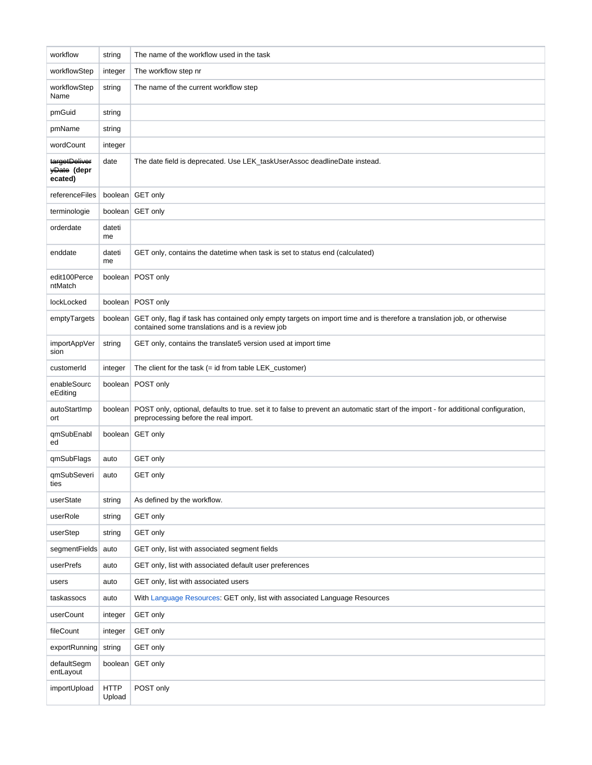| workflow                                | string                | The name of the workflow used in the task                                                                                                                                   |
|-----------------------------------------|-----------------------|-----------------------------------------------------------------------------------------------------------------------------------------------------------------------------|
| workflowStep                            | integer               | The workflow step nr                                                                                                                                                        |
| workflowStep<br>Name                    | string                | The name of the current workflow step                                                                                                                                       |
| pmGuid                                  | string                |                                                                                                                                                                             |
| pmName                                  | string                |                                                                                                                                                                             |
| wordCount                               | integer               |                                                                                                                                                                             |
| targetDeliver<br>yDate (depr<br>ecated) | date                  | The date field is deprecated. Use LEK_taskUserAssoc deadlineDate instead.                                                                                                   |
| referenceFiles                          |                       | boolean GET only                                                                                                                                                            |
| terminologie                            | boolean               | <b>GET only</b>                                                                                                                                                             |
| orderdate                               | dateti<br>me          |                                                                                                                                                                             |
| enddate                                 | dateti<br>me          | GET only, contains the datetime when task is set to status end (calculated)                                                                                                 |
| edit100Perce<br>ntMatch                 |                       | boolean POST only                                                                                                                                                           |
| lockLocked                              |                       | boolean POST only                                                                                                                                                           |
| emptyTargets                            | boolean               | GET only, flag if task has contained only empty targets on import time and is therefore a translation job, or otherwise<br>contained some translations and is a review job  |
| importAppVer<br>sion                    | string                | GET only, contains the translate5 version used at import time                                                                                                               |
| customerId                              | integer               | The client for the task (= id from table LEK_customer)                                                                                                                      |
| enableSourc<br>eEditing                 |                       | boolean POST only                                                                                                                                                           |
| autoStartImp<br>ort                     | boolean               | POST only, optional, defaults to true. set it to false to prevent an automatic start of the import - for additional configuration,<br>preprocessing before the real import. |
| qmSubEnabl<br>ed                        |                       | boolean GET only                                                                                                                                                            |
| qmSubFlags                              | auto                  | GET only                                                                                                                                                                    |
| qmSubSeveri<br>ties                     | auto                  | <b>GET only</b>                                                                                                                                                             |
| userState                               | string                | As defined by the workflow.                                                                                                                                                 |
| userRole                                | string                | GET only                                                                                                                                                                    |
| userStep                                | string                | <b>GET only</b>                                                                                                                                                             |
| segmentFields                           | auto                  | GET only, list with associated segment fields                                                                                                                               |
| userPrefs                               | auto                  | GET only, list with associated default user preferences                                                                                                                     |
| users                                   | auto                  | GET only, list with associated users                                                                                                                                        |
| taskassocs                              | auto                  | With Language Resources: GET only, list with associated Language Resources                                                                                                  |
| userCount                               | integer               | GET only                                                                                                                                                                    |
| fileCount                               | integer               | GET only                                                                                                                                                                    |
| exportRunning                           | string                | GET only                                                                                                                                                                    |
| defaultSegm<br>entLayout                | boolean               | <b>GET only</b>                                                                                                                                                             |
| importUpload                            | <b>HTTP</b><br>Upload | POST only                                                                                                                                                                   |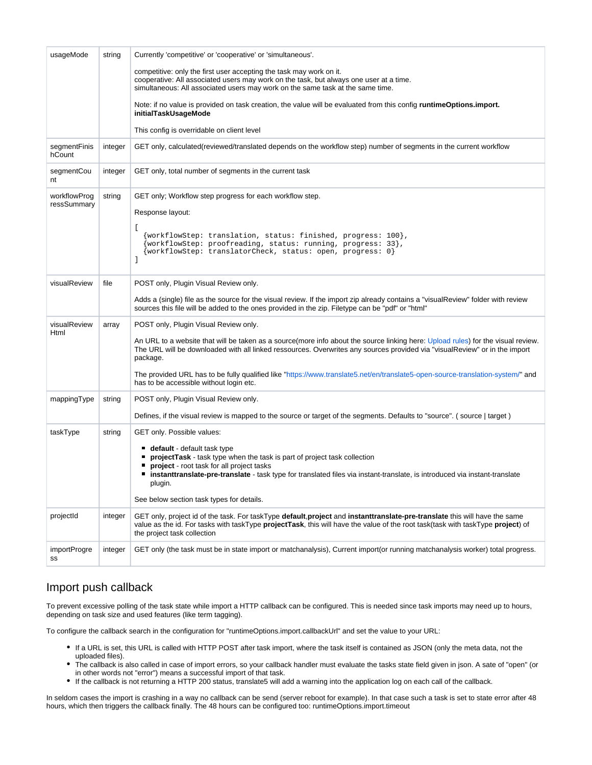| usageMode                   | string  | Currently 'competitive' or 'cooperative' or 'simultaneous'.                                                                                                                                                                                                                                                                                                                                                                                                                                      |
|-----------------------------|---------|--------------------------------------------------------------------------------------------------------------------------------------------------------------------------------------------------------------------------------------------------------------------------------------------------------------------------------------------------------------------------------------------------------------------------------------------------------------------------------------------------|
|                             |         | competitive: only the first user accepting the task may work on it.<br>cooperative: All associated users may work on the task, but always one user at a time.<br>simultaneous: All associated users may work on the same task at the same time.                                                                                                                                                                                                                                                  |
|                             |         | Note: if no value is provided on task creation, the value will be evaluated from this config runtimeOptions.import.<br>initialTaskUsageMode                                                                                                                                                                                                                                                                                                                                                      |
|                             |         | This config is overridable on client level                                                                                                                                                                                                                                                                                                                                                                                                                                                       |
| segmentFinis<br>hCount      | integer | GET only, calculated(reviewed/translated depends on the workflow step) number of segments in the current workflow                                                                                                                                                                                                                                                                                                                                                                                |
| segmentCou<br>nt            | integer | GET only, total number of segments in the current task                                                                                                                                                                                                                                                                                                                                                                                                                                           |
| workflowProg<br>ressSummary | string  | GET only; Workflow step progress for each workflow step.<br>Response layout:<br>L<br>{workflowStep: translation, status: finished, progress: 100},<br>{workflowStep: proofreading, status: running, progress: 33},<br>{workflowStep: translatorCheck, status: open, progress: 0}<br>1                                                                                                                                                                                                            |
| visualReview                | file    | POST only, Plugin Visual Review only.<br>Adds a (single) file as the source for the visual review. If the import zip already contains a "visualReview" folder with review<br>sources this file will be added to the ones provided in the zip. Filetype can be "pdf" or "html"                                                                                                                                                                                                                    |
| visualReview<br>Html        | array   | POST only, Plugin Visual Review only.<br>An URL to a website that will be taken as a source(more info about the source linking here: Upload rules) for the visual review.<br>The URL will be downloaded with all linked ressources. Overwrites any sources provided via "visualReview" or in the import<br>package.<br>The provided URL has to be fully qualified like "https://www.translate5.net/en/translate5-open-source-translation-system/" and<br>has to be accessible without login etc. |
| mappingType                 | string  | POST only, Plugin Visual Review only.                                                                                                                                                                                                                                                                                                                                                                                                                                                            |
|                             |         | Defines, if the visual review is mapped to the source or target of the segments. Defaults to "source". (source   target)                                                                                                                                                                                                                                                                                                                                                                         |
| taskType                    | string  | GET only. Possible values:<br>default - default task type<br>projectTask - task type when the task is part of project task collection<br>project - root task for all project tasks<br>" instanttranslate-pre-translate - task type for translated files via instant-translate, is introduced via instant-translate<br>plugin.<br>See below section task types for details.                                                                                                                       |
| projectId                   | integer | GET only, project id of the task. For taskType <b>default, project</b> and <b>instanttranslate-pre-translate</b> this will have the same<br>value as the id. For tasks with taskType projectTask, this will have the value of the root task(task with taskType project) of<br>the project task collection                                                                                                                                                                                        |
| importProgre<br>SS          | integer | GET only (the task must be in state import or matchanalysis), Current import(or running matchanalysis worker) total progress.                                                                                                                                                                                                                                                                                                                                                                    |

#### Import push callback

To prevent excessive polling of the task state while import a HTTP callback can be configured. This is needed since task imports may need up to hours, depending on task size and used features (like term tagging).

To configure the callback search in the configuration for "runtimeOptions.import.callbackUrl" and set the value to your URL:

- If a URL is set, this URL is called with HTTP POST after task import, where the task itself is contained as JSON (only the meta data, not the uploaded files).
- The callback is also called in case of import errors, so your callback handler must evaluate the tasks state field given in json. A sate of "open" (or in other words not "error") means a successful import of that task.
- If the callback is not returning a HTTP 200 status, translate5 will add a warning into the application log on each call of the callback.

In seldom cases the import is crashing in a way no callback can be send (server reboot for example). In that case such a task is set to state error after 48 hours, which then triggers the callback finally. The 48 hours can be configured too: runtimeOptions.import.timeout